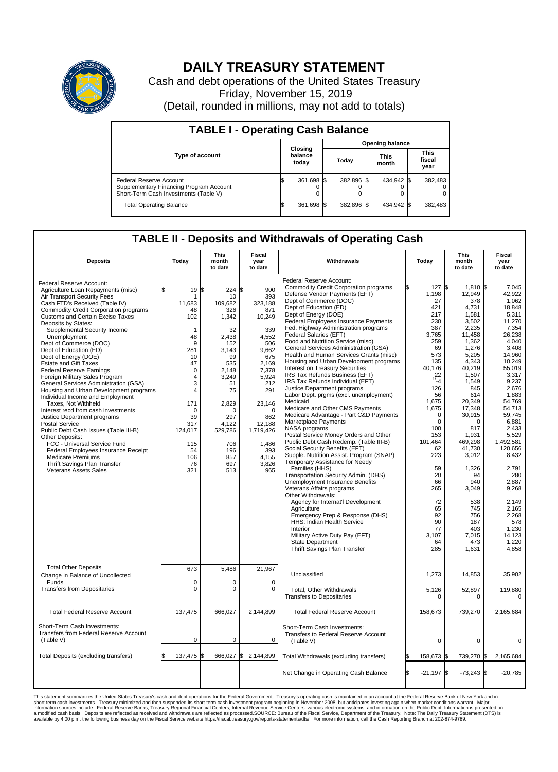

## **DAILY TREASURY STATEMENT**

Cash and debt operations of the United States Treasury Friday, November 15, 2019 (Detail, rounded in millions, may not add to totals)

| <b>TABLE I - Operating Cash Balance</b>                                                                     |  |                             |  |                        |  |                      |  |                               |  |  |  |
|-------------------------------------------------------------------------------------------------------------|--|-----------------------------|--|------------------------|--|----------------------|--|-------------------------------|--|--|--|
|                                                                                                             |  | Closing<br>balance<br>today |  | <b>Opening balance</b> |  |                      |  |                               |  |  |  |
| <b>Type of account</b>                                                                                      |  |                             |  | Today                  |  | <b>This</b><br>month |  | <b>This</b><br>fiscal<br>year |  |  |  |
| Federal Reserve Account<br>Supplementary Financing Program Account<br>Short-Term Cash Investments (Table V) |  | 361,698 \$                  |  | 382.896 \$             |  | 434.942 \$           |  | 382,483                       |  |  |  |
| <b>Total Operating Balance</b>                                                                              |  | 361,698 \$                  |  | 382,896 \$             |  | 434,942 \$           |  | 382,483                       |  |  |  |

## **TABLE II - Deposits and Withdrawals of Operating Cash**

| <b>Deposits</b>                                                                                                                                                                                                                                                                                                                                                                                                                                                                                                                                                                                                                                                                                                                                                                                                                                                                                                                                                       | Todav                                                                                                                                                                                                          | <b>This</b><br>month<br>to date                                                                                                                                                                      | Fiscal<br>year<br>to date                                                                                                                                                                                           | Withdrawals                                                                                                                                                                                                                                                                                                                                                                                                                                                                                                                                                                                                                                                                                                                                                                                                                                                                                                                                                                                                                                                                                                                                                                                                                                                                                                                                                             | Today |                                                                                                                                                                                                                                                                                 | <b>This</b><br>month<br>to date                                                                                                                                                                                                                                                                                                                 | Fiscal<br>year<br>to date                                                                                                                                                                                                                                                                                                                                       |
|-----------------------------------------------------------------------------------------------------------------------------------------------------------------------------------------------------------------------------------------------------------------------------------------------------------------------------------------------------------------------------------------------------------------------------------------------------------------------------------------------------------------------------------------------------------------------------------------------------------------------------------------------------------------------------------------------------------------------------------------------------------------------------------------------------------------------------------------------------------------------------------------------------------------------------------------------------------------------|----------------------------------------------------------------------------------------------------------------------------------------------------------------------------------------------------------------|------------------------------------------------------------------------------------------------------------------------------------------------------------------------------------------------------|---------------------------------------------------------------------------------------------------------------------------------------------------------------------------------------------------------------------|-------------------------------------------------------------------------------------------------------------------------------------------------------------------------------------------------------------------------------------------------------------------------------------------------------------------------------------------------------------------------------------------------------------------------------------------------------------------------------------------------------------------------------------------------------------------------------------------------------------------------------------------------------------------------------------------------------------------------------------------------------------------------------------------------------------------------------------------------------------------------------------------------------------------------------------------------------------------------------------------------------------------------------------------------------------------------------------------------------------------------------------------------------------------------------------------------------------------------------------------------------------------------------------------------------------------------------------------------------------------------|-------|---------------------------------------------------------------------------------------------------------------------------------------------------------------------------------------------------------------------------------------------------------------------------------|-------------------------------------------------------------------------------------------------------------------------------------------------------------------------------------------------------------------------------------------------------------------------------------------------------------------------------------------------|-----------------------------------------------------------------------------------------------------------------------------------------------------------------------------------------------------------------------------------------------------------------------------------------------------------------------------------------------------------------|
| Federal Reserve Account:<br>Agriculture Loan Repayments (misc)<br><b>Air Transport Security Fees</b><br>Cash FTD's Received (Table IV)<br><b>Commodity Credit Corporation programs</b><br><b>Customs and Certain Excise Taxes</b><br>Deposits by States:<br>Supplemental Security Income<br>Unemployment<br>Dept of Commerce (DOC)<br>Dept of Education (ED)<br>Dept of Energy (DOE)<br><b>Estate and Gift Taxes</b><br><b>Federal Reserve Earnings</b><br>Foreign Military Sales Program<br>General Services Administration (GSA)<br>Housing and Urban Development programs<br>Individual Income and Employment<br>Taxes, Not Withheld<br>Interest recd from cash investments<br>Justice Department programs<br><b>Postal Service</b><br>Public Debt Cash Issues (Table III-B)<br>Other Deposits:<br>FCC - Universal Service Fund<br>Federal Employees Insurance Receipt<br><b>Medicare Premiums</b><br>Thrift Savings Plan Transfer<br><b>Veterans Assets Sales</b> | \$<br>$19 \,$ $\uparrow$<br>1<br>11,683<br>48<br>102<br>1<br>48<br>9<br>281<br>10<br>47<br>$\mathbf 0$<br>4<br>3<br>$\overline{4}$<br>171<br>$\Omega$<br>39<br>317<br>124,017<br>115<br>54<br>106<br>76<br>321 | 224 \$<br>10<br>109,682<br>326<br>1,342<br>32<br>2,438<br>152<br>3,143<br>99<br>535<br>2,148<br>3,249<br>51<br>75<br>2,829<br>$\Omega$<br>297<br>4,122<br>529,786<br>706<br>196<br>857<br>697<br>513 | 900<br>393<br>323,188<br>871<br>10,249<br>339<br>4,552<br>506<br>9,662<br>675<br>2,169<br>7,378<br>5,924<br>212<br>291<br>23,146<br>$\Omega$<br>862<br>12,188<br>1,719,426<br>1,486<br>393<br>4.155<br>3,826<br>965 | Federal Reserve Account:<br><b>Commodity Credit Corporation programs</b><br>Defense Vendor Payments (EFT)<br>Dept of Commerce (DOC)<br>Dept of Education (ED)<br>Dept of Energy (DOE)<br><b>Federal Employees Insurance Payments</b><br>Fed. Highway Administration programs<br>Federal Salaries (EFT)<br>Food and Nutrition Service (misc)<br>General Services Administration (GSA)<br>Health and Human Services Grants (misc)<br>Housing and Urban Development programs<br>Interest on Treasury Securities<br>IRS Tax Refunds Business (EFT)<br>IRS Tax Refunds Individual (EFT)<br>Justice Department programs<br>Labor Dept. prgms (excl. unemployment)<br>Medicaid<br>Medicare and Other CMS Payments<br>Medicare Advantage - Part C&D Payments<br>Marketplace Payments<br>NASA programs<br>Postal Service Money Orders and Other<br>Public Debt Cash Redemp. (Table III-B)<br>Social Security Benefits (EFT)<br>Supple. Nutrition Assist. Program (SNAP)<br>Temporary Assistance for Needy<br>Families (HHS)<br>Transportation Security Admin. (DHS)<br>Unemployment Insurance Benefits<br>Veterans Affairs programs<br>Other Withdrawals:<br>Agency for Internat'l Development<br>Agriculture<br>Emergency Prep & Response (DHS)<br>HHS: Indian Health Service<br>Interior<br>Military Active Duty Pay (EFT)<br>State Department<br>Thrift Savings Plan Transfer |       | 127<br>1,198<br>27<br>421<br>217<br>230<br>387<br>3,765<br>259<br>69<br>573<br>135<br>40,176<br>22<br>1/4<br>126<br>56<br>1,675<br>1,675<br>0<br>$\mathbf 0$<br>100<br>153<br>101,464<br>62<br>223<br>59<br>20<br>66<br>265<br>72<br>65<br>92<br>90<br>77<br>3,107<br>64<br>285 | 1,810 \$<br>1\$<br>12,949<br>378<br>4,731<br>1,581<br>3,502<br>2,235<br>11,458<br>1,362<br>1,276<br>5,205<br>4,343<br>40,219<br>1,507<br>1,549<br>845<br>614<br>20,349<br>17.348<br>30,915<br>$\Omega$<br>817<br>1,931<br>469,298<br>41.730<br>3,012<br>1,326<br>94<br>940<br>3,049<br>538<br>745<br>756<br>187<br>403<br>7,015<br>473<br>1,631 | 7,045<br>42,922<br>1.062<br>18.848<br>5,311<br>11,270<br>7,354<br>26,238<br>4.040<br>3.408<br>14,960<br>10,249<br>55,019<br>3,317<br>9,237<br>2,676<br>1,883<br>54,769<br>54.713<br>59,745<br>6.881<br>2,433<br>5,529<br>1,492,581<br>120.656<br>8,432<br>2.791<br>280<br>2,887<br>9,268<br>2,149<br>2,165<br>2,268<br>578<br>1,230<br>14,123<br>1,220<br>4,858 |
| <b>Total Other Deposits</b><br>Change in Balance of Uncollected<br>Funds<br><b>Transfers from Depositaries</b>                                                                                                                                                                                                                                                                                                                                                                                                                                                                                                                                                                                                                                                                                                                                                                                                                                                        | 673<br>$\mathbf 0$<br>$\mathbf 0$                                                                                                                                                                              | 5.486<br>$\Omega$<br>0                                                                                                                                                                               | 21.967<br>$\Omega$<br>$\mathbf 0$                                                                                                                                                                                   | Unclassified<br>Total, Other Withdrawals<br><b>Transfers to Depositaries</b>                                                                                                                                                                                                                                                                                                                                                                                                                                                                                                                                                                                                                                                                                                                                                                                                                                                                                                                                                                                                                                                                                                                                                                                                                                                                                            |       | 1,273<br>5,126<br>$\mathbf 0$                                                                                                                                                                                                                                                   | 14,853<br>52,897<br>$\mathbf 0$                                                                                                                                                                                                                                                                                                                 | 35,902<br>119,880<br>0                                                                                                                                                                                                                                                                                                                                          |
| <b>Total Federal Reserve Account</b>                                                                                                                                                                                                                                                                                                                                                                                                                                                                                                                                                                                                                                                                                                                                                                                                                                                                                                                                  | 137,475                                                                                                                                                                                                        | 666,027                                                                                                                                                                                              | 2,144,899                                                                                                                                                                                                           | <b>Total Federal Reserve Account</b>                                                                                                                                                                                                                                                                                                                                                                                                                                                                                                                                                                                                                                                                                                                                                                                                                                                                                                                                                                                                                                                                                                                                                                                                                                                                                                                                    |       | 158,673                                                                                                                                                                                                                                                                         | 739,270                                                                                                                                                                                                                                                                                                                                         | 2,165,684                                                                                                                                                                                                                                                                                                                                                       |
| Short-Term Cash Investments:<br>Transfers from Federal Reserve Account<br>(Table V)                                                                                                                                                                                                                                                                                                                                                                                                                                                                                                                                                                                                                                                                                                                                                                                                                                                                                   | $\mathbf 0$                                                                                                                                                                                                    | $\mathbf 0$                                                                                                                                                                                          | 0                                                                                                                                                                                                                   | Short-Term Cash Investments:<br>Transfers to Federal Reserve Account<br>(Table V)                                                                                                                                                                                                                                                                                                                                                                                                                                                                                                                                                                                                                                                                                                                                                                                                                                                                                                                                                                                                                                                                                                                                                                                                                                                                                       |       | $\mathbf 0$                                                                                                                                                                                                                                                                     | $\mathbf 0$                                                                                                                                                                                                                                                                                                                                     | 0                                                                                                                                                                                                                                                                                                                                                               |
| Total Deposits (excluding transfers)                                                                                                                                                                                                                                                                                                                                                                                                                                                                                                                                                                                                                                                                                                                                                                                                                                                                                                                                  | 137,475                                                                                                                                                                                                        | 666,027 \$<br>1\$                                                                                                                                                                                    | 2,144,899                                                                                                                                                                                                           | Total Withdrawals (excluding transfers)                                                                                                                                                                                                                                                                                                                                                                                                                                                                                                                                                                                                                                                                                                                                                                                                                                                                                                                                                                                                                                                                                                                                                                                                                                                                                                                                 |       | 158,673 \$                                                                                                                                                                                                                                                                      | 739,270 \$                                                                                                                                                                                                                                                                                                                                      | 2,165,684                                                                                                                                                                                                                                                                                                                                                       |
|                                                                                                                                                                                                                                                                                                                                                                                                                                                                                                                                                                                                                                                                                                                                                                                                                                                                                                                                                                       |                                                                                                                                                                                                                |                                                                                                                                                                                                      |                                                                                                                                                                                                                     | Net Change in Operating Cash Balance                                                                                                                                                                                                                                                                                                                                                                                                                                                                                                                                                                                                                                                                                                                                                                                                                                                                                                                                                                                                                                                                                                                                                                                                                                                                                                                                    | ß.    | $-21,197$ \$                                                                                                                                                                                                                                                                    | $-73,243$ \$                                                                                                                                                                                                                                                                                                                                    | $-20,785$                                                                                                                                                                                                                                                                                                                                                       |

This statement summarizes the United States Treasury's cash and debt operations for the Federal Government. Treasury soperating in November 2008, but anticiarded in a cocount at the Federal metaform mathemultions warrant.